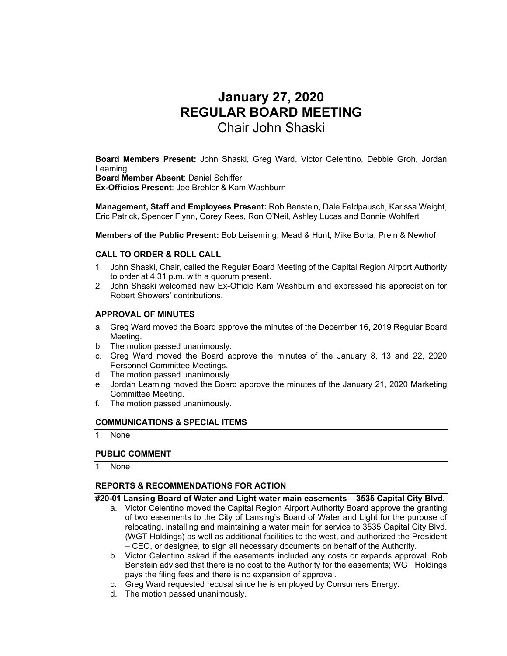# **January 27, 2020 REGULAR BOARD MEETING**  Chair John Shaski

**Board Members Present:** John Shaski, Greg Ward, Victor Celentino, Debbie Groh, Jordan Leaming **Board Member Absent**: Daniel Schiffer

**Ex-Officios Present**: Joe Brehler & Kam Washburn

**Management, Staff and Employees Present:** Rob Benstein, Dale Feldpausch, Karissa Weight, Eric Patrick, Spencer Flynn, Corey Rees, Ron O'Neil, Ashley Lucas and Bonnie Wohlfert

**Members of the Public Present:** Bob Leisenring, Mead & Hunt; Mike Borta, Prein & Newhof

# **CALL TO ORDER & ROLL CALL**

- 1. John Shaski, Chair, called the Regular Board Meeting of the Capital Region Airport Authority to order at 4:31 p.m. with a quorum present.
- 2. John Shaski welcomed new Ex-Officio Kam Washburn and expressed his appreciation for Robert Showers' contributions.

# **APPROVAL OF MINUTES**

- a. Greg Ward moved the Board approve the minutes of the December 16, 2019 Regular Board Meeting.
- b. The motion passed unanimously.
- c. Greg Ward moved the Board approve the minutes of the January 8, 13 and 22, 2020 Personnel Committee Meetings.
- d. The motion passed unanimously.
- e. Jordan Leaming moved the Board approve the minutes of the January 21, 2020 Marketing Committee Meeting.
- f. The motion passed unanimously.

### **COMMUNICATIONS & SPECIAL ITEMS**

1. None

### **PUBLIC COMMENT**

1. None

# **REPORTS & RECOMMENDATIONS FOR ACTION**

### **#20-01 Lansing Board of Water and Light water main easements – 3535 Capital City Blvd.**

- a. Victor Celentino moved the Capital Region Airport Authority Board approve the granting of two easements to the City of Lansing's Board of Water and Light for the purpose of relocating, installing and maintaining a water main for service to 3535 Capital City Blvd. (WGT Holdings) as well as additional facilities to the west, and authorized the President – CEO, or designee, to sign all necessary documents on behalf of the Authority.
- b. Victor Celentino asked if the easements included any costs or expands approval. Rob Benstein advised that there is no cost to the Authority for the easements; WGT Holdings pays the filing fees and there is no expansion of approval.
- c. Greg Ward requested recusal since he is employed by Consumers Energy.
- d. The motion passed unanimously.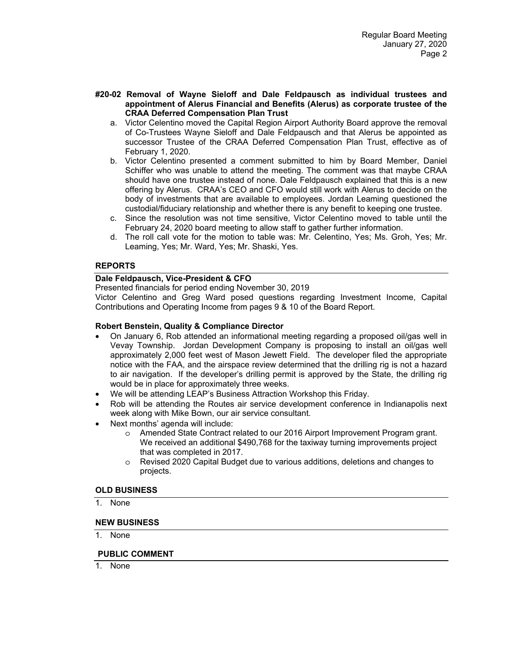- **#20-02 Removal of Wayne Sieloff and Dale Feldpausch as individual trustees and appointment of Alerus Financial and Benefits (Alerus) as corporate trustee of the CRAA Deferred Compensation Plan Trust** 
	- a. Victor Celentino moved the Capital Region Airport Authority Board approve the removal of Co-Trustees Wayne Sieloff and Dale Feldpausch and that Alerus be appointed as successor Trustee of the CRAA Deferred Compensation Plan Trust, effective as of February 1, 2020.
	- b. Victor Celentino presented a comment submitted to him by Board Member, Daniel Schiffer who was unable to attend the meeting. The comment was that maybe CRAA should have one trustee instead of none. Dale Feldpausch explained that this is a new offering by Alerus. CRAA's CEO and CFO would still work with Alerus to decide on the body of investments that are available to employees. Jordan Leaming questioned the custodial/fiduciary relationship and whether there is any benefit to keeping one trustee.
	- c. Since the resolution was not time sensitive, Victor Celentino moved to table until the February 24, 2020 board meeting to allow staff to gather further information.
	- d. The roll call vote for the motion to table was: Mr. Celentino, Yes; Ms. Groh, Yes; Mr. Leaming, Yes; Mr. Ward, Yes; Mr. Shaski, Yes.

# **REPORTS**

# **Dale Feldpausch, Vice-President & CFO**

Presented financials for period ending November 30, 2019

Victor Celentino and Greg Ward posed questions regarding Investment Income, Capital Contributions and Operating Income from pages 9 & 10 of the Board Report.

# **Robert Benstein, Quality & Compliance Director**

- On January 6, Rob attended an informational meeting regarding a proposed oil/gas well in Vevay Township. Jordan Development Company is proposing to install an oil/gas well approximately 2,000 feet west of Mason Jewett Field. The developer filed the appropriate notice with the FAA, and the airspace review determined that the drilling rig is not a hazard to air navigation. If the developer's drilling permit is approved by the State, the drilling rig would be in place for approximately three weeks.
- We will be attending LEAP's Business Attraction Workshop this Friday.
- Rob will be attending the Routes air service development conference in Indianapolis next week along with Mike Bown, our air service consultant.
- Next months' agenda will include:
	- o Amended State Contract related to our 2016 Airport Improvement Program grant. We received an additional \$490,768 for the taxiway turning improvements project that was completed in 2017.
	- o Revised 2020 Capital Budget due to various additions, deletions and changes to projects.

### **OLD BUSINESS**

1. None

### **NEW BUSINESS**

1. None

### **PUBLIC COMMENT**

1. None